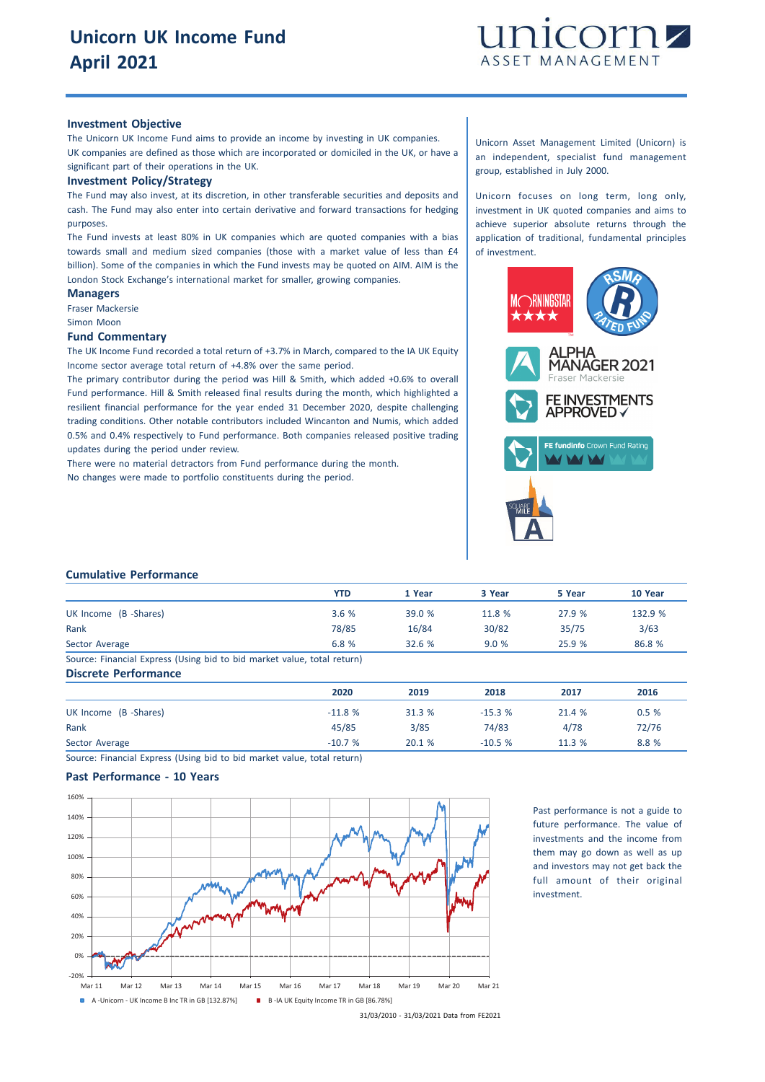

#### **Investment Objective**

The Unicorn UK Income Fund aims to provide an income by investing in UK companies. UK companies are defined as those which are incorporated or domiciled in the UK, or have a significant part of their operations in the UK.

#### **Investment Policy/Strategy**

The Fund may also invest, at its discretion, in other transferable securities and deposits and cash. The Fund may also enter into certain derivative and forward transactions for hedging purposes.

The Fund invests at least 80% in UK companies which are quoted companies with a bias towards small and medium sized companies (those with a market value of less than £4 billion). Some of the companies in which the Fund invests may be quoted on AIM. AIM is the London Stock Exchange's international market for smaller, growing companies.

**Managers** Fraser Mackersie

Simon Moon

#### **Fund Commentary**

The UK Income Fund recorded a total return of +3.7% in March, compared to the IA UK Equity Income sector average total return of +4.8% over the same period.

The primary contributor during the period was Hill & Smith, which added +0.6% to overall Fund performance. Hill & Smith released final results during the month, which highlighted a resilient financial performance for the year ended 31 December 2020, despite challenging trading conditions. Other notable contributors included Wincanton and Numis, which added 0.5% and 0.4% respectively to Fund performance. Both companies released positive trading updates during the period under review.

There were no material detractors from Fund performance during the month.

No changes were made to portfolio constituents during the period.

Unicorn Asset Management Limited (Unicorn) is an independent, specialist fund management group, established in July 2000.

Unicorn focuses on long term, long only, investment in UK quoted companies and aims to achieve superior absolute returns through the application of traditional, fundamental principles of investment.



### **Cumulative Performance**

|                                                                         | YTD   | 1 Year | 3 Year | 5 Year | 10 Year |
|-------------------------------------------------------------------------|-------|--------|--------|--------|---------|
| UK Income (B -Shares)                                                   | 3.6%  | 39.0%  | 11.8 % | 27.9 % | 132.9 % |
| Rank                                                                    | 78/85 | 16/84  | 30/82  | 35/75  | 3/63    |
| Sector Average                                                          | 6.8%  | 32.6%  | 9.0%   | 25.9%  | 86.8 %  |
| Source: Financial Express (Using bid to bid market value, total return) |       |        |        |        |         |

**Discrete Performance 2020 2019 2018 2017 2016** UK Income (B -Shares) 0.5 % 21.4 % 31.3 % 31.3 % 31.3 % 31.3 % 21.4 % 0.5 % Rank 45/85 3/85 74/83 4/78 72/76 Sector Average -10.7 % 20.1 % -10.5 % 11.3 % 8.8 %

Source: Financial Express (Using bid to bid market value, total return)

## **Past Performance - 10 Years**



Past performance is not a guide to future performance. The value of investments and the income from them may go down as well as up and investors may not get back the full amount of their original investment.

<sup>31/03/2010</sup> - 31/03/2021 Data from FE2021